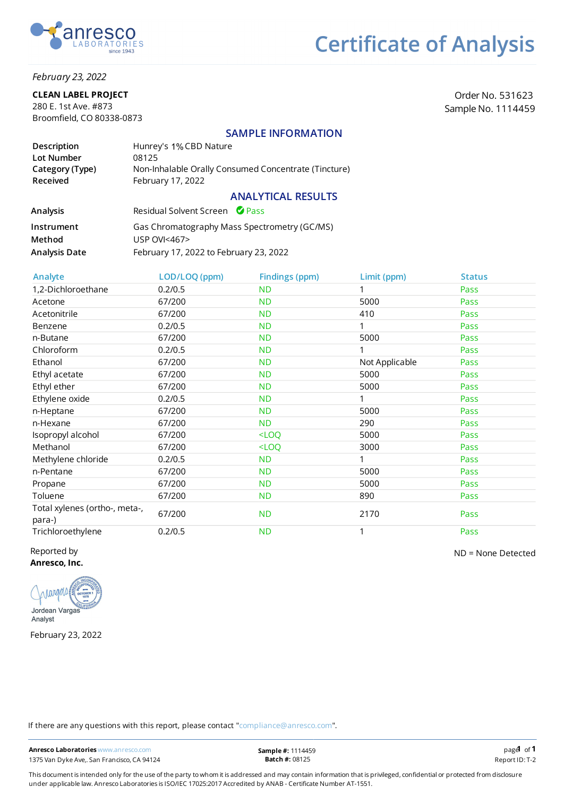

### February 23, 2022

### CLEAN LABEL PROJECT

280 E. 1st Ave. #873 Broomfield, CO 80338-0873

Order No. 531623 Sample No. 1114459

## SAMPLE INFORMATION

| Description                 | Hunrey's 1% CBD Nature                                                    |
|-----------------------------|---------------------------------------------------------------------------|
| Lot Number                  | 08125                                                                     |
| Category (Type)<br>Received | Non-Inhalable Orally Consumed Concentrate (Tincture)<br>February 17, 2022 |
|                             | <b>ANALYTICAL RESULTS</b>                                                 |

| Analysis      | Residual Solvent Screen Pass                 |
|---------------|----------------------------------------------|
| Instrument    | Gas Chromatography Mass Spectrometry (GC/MS) |
| Method        | <b>USP OVI&lt;467&gt;</b>                    |
| Analysis Date | February 17, 2022 to February 23, 2022       |

| Analyte                                 | LOD/LOQ (ppm) | <b>Findings (ppm)</b>                         | Limit (ppm)    | <b>Status</b> |
|-----------------------------------------|---------------|-----------------------------------------------|----------------|---------------|
| 1,2-Dichloroethane                      | 0.2/0.5       | <b>ND</b>                                     |                | Pass          |
| Acetone                                 | 67/200        | <b>ND</b>                                     | 5000           | Pass          |
| Acetonitrile                            | 67/200        | <b>ND</b>                                     | 410            | Pass          |
| Benzene                                 | 0.2/0.5       | <b>ND</b>                                     |                | Pass          |
| n-Butane                                | 67/200        | <b>ND</b>                                     | 5000           | Pass          |
| Chloroform                              | 0.2/0.5       | <b>ND</b>                                     |                | Pass          |
| Ethanol                                 | 67/200        | <b>ND</b>                                     | Not Applicable | Pass          |
| Ethyl acetate                           | 67/200        | <b>ND</b>                                     | 5000           | Pass          |
| Ethyl ether                             | 67/200        | <b>ND</b>                                     | 5000           | Pass          |
| Ethylene oxide                          | 0.2/0.5       | <b>ND</b>                                     |                | Pass          |
| n-Heptane                               | 67/200        | <b>ND</b>                                     | 5000           | Pass          |
| n-Hexane                                | 67/200        | ND.                                           | 290            | Pass          |
| Isopropyl alcohol                       | 67/200        | $<$ LOQ                                       | 5000           | Pass          |
| Methanol                                | 67/200        | <loq< td=""><td>3000</td><td>Pass</td></loq<> | 3000           | Pass          |
| Methylene chloride                      | 0.2/0.5       | <b>ND</b>                                     |                | Pass          |
| n-Pentane                               | 67/200        | <b>ND</b>                                     | 5000           | Pass          |
| Propane                                 | 67/200        | <b>ND</b>                                     | 5000           | Pass          |
| Toluene                                 | 67/200        | <b>ND</b>                                     | 890            | Pass          |
| Total xylenes (ortho-, meta-,<br>para-) | 67/200        | <b>ND</b>                                     | 2170           | Pass          |
| Trichloroethylene                       | 0.2/0.5       | <b>ND</b>                                     |                | Pass          |

Reported by Anresco, Inc.



February 23, 2022

ND = None Detected

If there are any questions with this report, please contact "compliance@anresco.com".

Anresco Laboratories www.anresco.com 1375 Van Dyke Ave,. San Francisco, CA 94124 Report ID: T-2

This document is intended only for the use of the party to whom it is addressed and may contain information that is privileged, confidential or protected from disclosure under applicable law. Anresco Laboratories is ISO/IEC 17025:2017 Accredited by ANAB - Certificate Number AT-1551.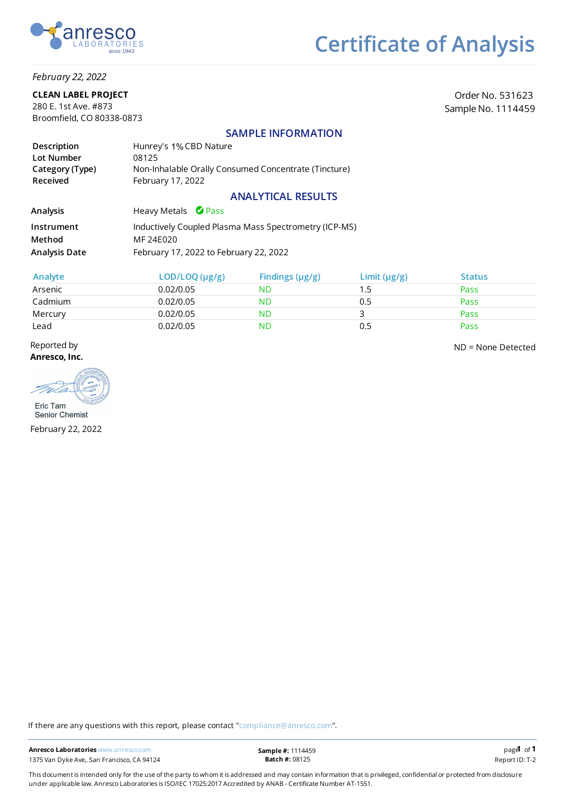

## February 22, 2022

### CLEAN LABEL PROJECT

280 E. 1st Ave. #873 Broomfield, CO 80338-0873

Order No. 531623 Sample No. 1114459

## SAMPLE INFORMATION

| Description                        | Hunrey's 1% CBD Nature                                                    |
|------------------------------------|---------------------------------------------------------------------------|
| Lot Number                         | 08125                                                                     |
| Category (Type)<br><b>Received</b> | Non-Inhalable Orally Consumed Concentrate (Tincture)<br>February 17, 2022 |

## ANALYTICAL RESULTS

| <b>Analysis</b>      | Heavy Metals Pass                                     |
|----------------------|-------------------------------------------------------|
| Instrument           | Inductively Coupled Plasma Mass Spectrometry (ICP-MS) |
| Method               | MF 24E020                                             |
| <b>Analysis Date</b> | February 17, 2022 to February 22, 2022                |

| Analyte | LOD/LOQ (µg/g) | Findings $(\mu g/g)$ | Limit $(\mu g/g)$ | <b>Status</b> |
|---------|----------------|----------------------|-------------------|---------------|
| Arsenic | 0.02/0.05      | ND                   | 1.5               | Pass          |
| Cadmium | 0.02/0.05      | ND                   | 0.5               | Pass          |
| Mercury | 0.02/0.05      | <b>ND</b>            |                   | Pass          |
| Lead    | 0.02/0.05      | ND                   | 0.5               | Pass          |

Reported by Anresco, Inc.

ND = None Detected

Eric Tam

Senior Chemist February 22, 2022

If there are any questions with this report, please contact "compliance@anresco.com".

This document is intended only for the use of the party to whom it is addressed and may contain information that is privileged, confidential or protected from disclosure under applicable law. Anresco Laboratories is ISO/IEC 17025:2017 Accredited by ANAB - Certificate Number AT-1551.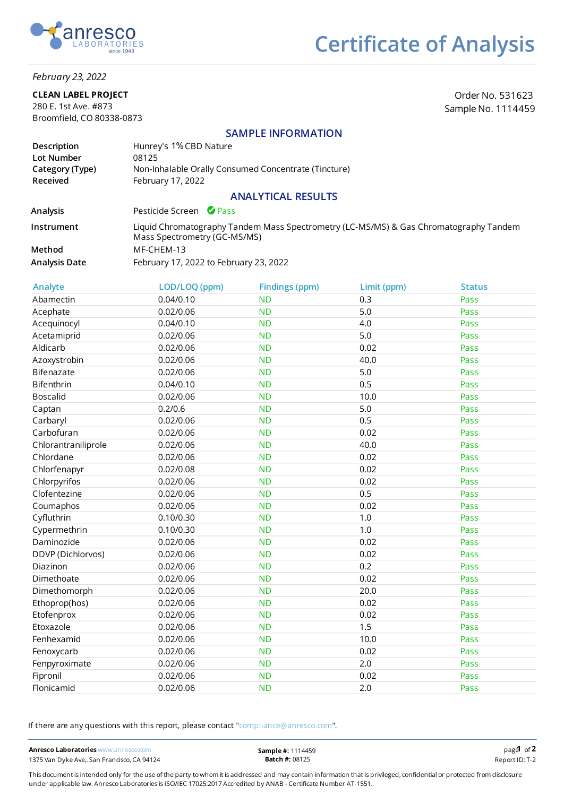

## February 23, 2022

### CLEAN LABEL PROJECT

280 E. 1st Ave. #873 Broomfield, CO 80338-0873

Order No. 531623 Sample No. 1114459

## SAMPLE INFORMATION

| Description     | Hunrey's 1% CBD Nature                               |
|-----------------|------------------------------------------------------|
| Lot Number      | 08125                                                |
| Category (Type) | Non-Inhalable Orally Consumed Concentrate (Tincture) |
| <b>Received</b> | February 17, 2022                                    |

## ANALYTICAL RESULTS

Analysis Pesticide Screen <sup>O</sup> Pass

Instrument Method Analysis Date Liquid Chromatography Tandem Mass Spectrometry (LC-MS/MS) & Gas Chromatography Tandem Mass Spectrometry (GC-MS/MS) MF-CHEM-13 February 17, 2022 to February 23, 2022

| Analyte             | LOD/LOQ (ppm) | <b>Findings (ppm)</b> | Limit (ppm) | <b>Status</b> |
|---------------------|---------------|-----------------------|-------------|---------------|
| Abamectin           | 0.04/0.10     | <b>ND</b>             | 0.3         | Pass          |
| Acephate            | 0.02/0.06     | <b>ND</b>             | 5.0         | Pass          |
| Acequinocyl         | 0.04/0.10     | <b>ND</b>             | 4.0         | Pass          |
| Acetamiprid         | 0.02/0.06     | <b>ND</b>             | 5.0         | Pass          |
| Aldicarb            | 0.02/0.06     | <b>ND</b>             | 0.02        | Pass          |
| Azoxystrobin        | 0.02/0.06     | <b>ND</b>             | 40.0        | Pass          |
| Bifenazate          | 0.02/0.06     | <b>ND</b>             | 5.0         | Pass          |
| Bifenthrin          | 0.04/0.10     | <b>ND</b>             | 0.5         | Pass          |
| <b>Boscalid</b>     | 0.02/0.06     | <b>ND</b>             | 10.0        | Pass          |
| Captan              | 0.2/0.6       | <b>ND</b>             | 5.0         | Pass          |
| Carbaryl            | 0.02/0.06     | <b>ND</b>             | 0.5         | Pass          |
| Carbofuran          | 0.02/0.06     | <b>ND</b>             | 0.02        | Pass          |
| Chlorantraniliprole | 0.02/0.06     | <b>ND</b>             | 40.0        | Pass          |
| Chlordane           | 0.02/0.06     | <b>ND</b>             | 0.02        | Pass          |
| Chlorfenapyr        | 0.02/0.08     | <b>ND</b>             | 0.02        | Pass          |
| Chlorpyrifos        | 0.02/0.06     | <b>ND</b>             | 0.02        | Pass          |
| Clofentezine        | 0.02/0.06     | <b>ND</b>             | 0.5         | Pass          |
| Coumaphos           | 0.02/0.06     | <b>ND</b>             | 0.02        | Pass          |
| Cyfluthrin          | 0.10/0.30     | <b>ND</b>             | 1.0         | Pass          |
| Cypermethrin        | 0.10/0.30     | <b>ND</b>             | 1.0         | Pass          |
| Daminozide          | 0.02/0.06     | <b>ND</b>             | 0.02        | Pass          |
| DDVP (Dichlorvos)   | 0.02/0.06     | <b>ND</b>             | 0.02        | Pass          |
| Diazinon            | 0.02/0.06     | <b>ND</b>             | 0.2         | Pass          |
| Dimethoate          | 0.02/0.06     | <b>ND</b>             | 0.02        | Pass          |
| Dimethomorph        | 0.02/0.06     | <b>ND</b>             | 20.0        | Pass          |
| Ethoprop(hos)       | 0.02/0.06     | <b>ND</b>             | 0.02        | Pass          |
| Etofenprox          | 0.02/0.06     | <b>ND</b>             | 0.02        | Pass          |
| Etoxazole           | 0.02/0.06     | <b>ND</b>             | 1.5         | Pass          |
| Fenhexamid          | 0.02/0.06     | <b>ND</b>             | 10.0        | Pass          |
| Fenoxycarb          | 0.02/0.06     | <b>ND</b>             | 0.02        | Pass          |
| Fenpyroximate       | 0.02/0.06     | <b>ND</b>             | 2.0         | Pass          |
| Fipronil            | 0.02/0.06     | <b>ND</b>             | 0.02        | Pass          |
| Flonicamid          | 0.02/0.06     | <b>ND</b>             | 2.0         | Pass          |

If there are any questions with this report, please contact "compliance@anresco.com".

This document is intended only for the use of the party to whom it is addressed and may contain information that is privileged, confidential or protected from disclosure under applicable law. Anresco Laboratories is ISO/IEC 17025:2017 Accredited by ANAB - Certicate Number AT-1551.